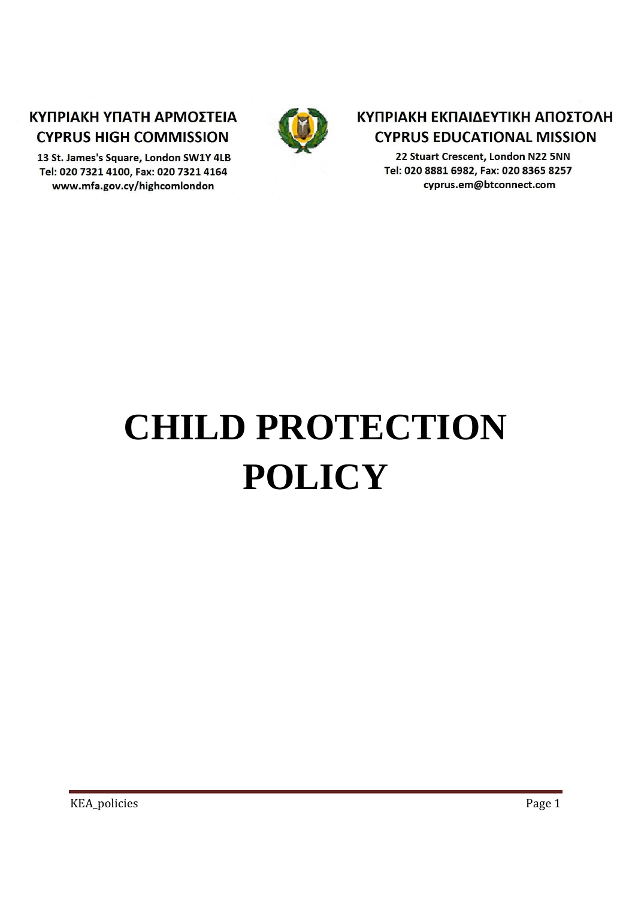# ΚΥΠΡΙΑΚΗ ΥΠΑΤΗ ΑΡΜΟΣΤΕΙΑ **CYPRUS HIGH COMMISSION**

13 St. James's Square, London SW1Y 4LB Tel: 020 7321 4100, Fax: 020 7321 4164 www.mfa.gov.cy/highcomlondon



# ΚΥΠΡΙΑΚΗ ΕΚΠΑΙΔΕΥΤΙΚΗ ΑΠΟΣΤΟΛΗ **CYPRUS EDUCATIONAL MISSION**

22 Stuart Crescent, London N22 5NN Tel: 020 8881 6982, Fax: 020 8365 8257 cyprus.em@btconnect.com

# **CHILD PROTECTION POLICY**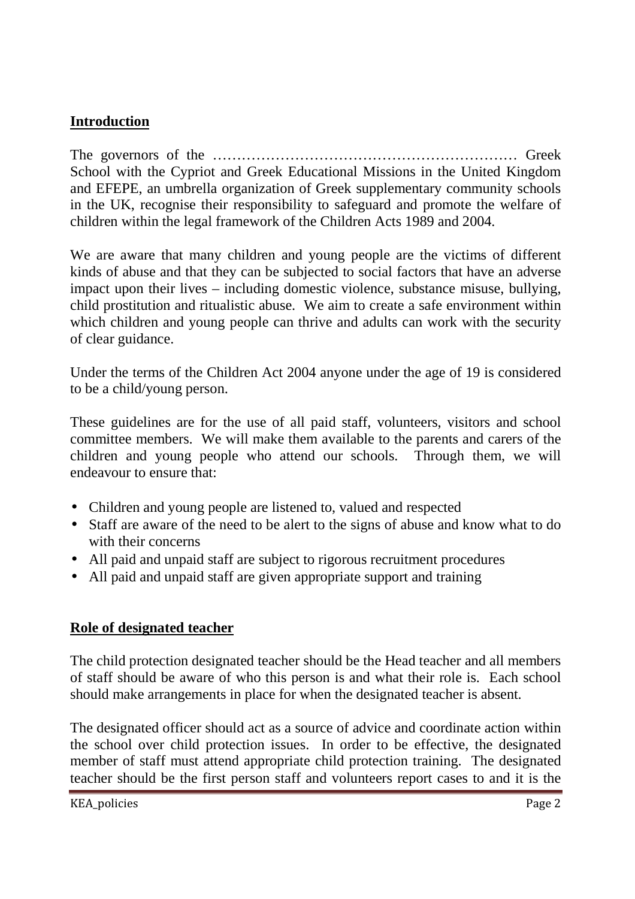#### **Introduction**

The governors of the ……………………………………………………… Greek School with the Cypriot and Greek Educational Missions in the United Kingdom and EFEPE, an umbrella organization of Greek supplementary community schools in the UK, recognise their responsibility to safeguard and promote the welfare of children within the legal framework of the Children Acts 1989 and 2004.

We are aware that many children and young people are the victims of different kinds of abuse and that they can be subjected to social factors that have an adverse impact upon their lives – including domestic violence, substance misuse, bullying, child prostitution and ritualistic abuse. We aim to create a safe environment within which children and young people can thrive and adults can work with the security of clear guidance.

Under the terms of the Children Act 2004 anyone under the age of 19 is considered to be a child/young person.

These guidelines are for the use of all paid staff, volunteers, visitors and school committee members. We will make them available to the parents and carers of the children and young people who attend our schools. Through them, we will endeavour to ensure that:

- Children and young people are listened to, valued and respected
- Staff are aware of the need to be alert to the signs of abuse and know what to do with their concerns
- All paid and unpaid staff are subject to rigorous recruitment procedures
- All paid and unpaid staff are given appropriate support and training

#### **Role of designated teacher**

The child protection designated teacher should be the Head teacher and all members of staff should be aware of who this person is and what their role is. Each school should make arrangements in place for when the designated teacher is absent.

The designated officer should act as a source of advice and coordinate action within the school over child protection issues. In order to be effective, the designated member of staff must attend appropriate child protection training. The designated teacher should be the first person staff and volunteers report cases to and it is the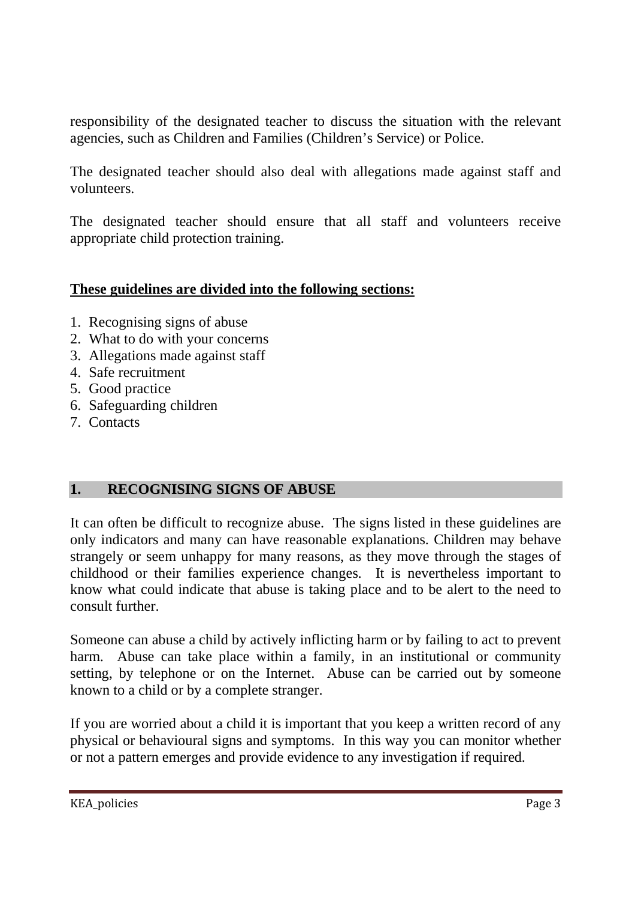responsibility of the designated teacher to discuss the situation with the relevant agencies, such as Children and Families (Children's Service) or Police.

The designated teacher should also deal with allegations made against staff and volunteers.

The designated teacher should ensure that all staff and volunteers receive appropriate child protection training.

#### **These guidelines are divided into the following sections:**

- 1. Recognising signs of abuse
- 2. What to do with your concerns
- 3. Allegations made against staff
- 4. Safe recruitment
- 5. Good practice
- 6. Safeguarding children
- 7. Contacts

# **1. RECOGNISING SIGNS OF ABUSE**

It can often be difficult to recognize abuse. The signs listed in these guidelines are only indicators and many can have reasonable explanations. Children may behave strangely or seem unhappy for many reasons, as they move through the stages of childhood or their families experience changes. It is nevertheless important to know what could indicate that abuse is taking place and to be alert to the need to consult further.

Someone can abuse a child by actively inflicting harm or by failing to act to prevent harm. Abuse can take place within a family, in an institutional or community setting, by telephone or on the Internet. Abuse can be carried out by someone known to a child or by a complete stranger.

If you are worried about a child it is important that you keep a written record of any physical or behavioural signs and symptoms. In this way you can monitor whether or not a pattern emerges and provide evidence to any investigation if required.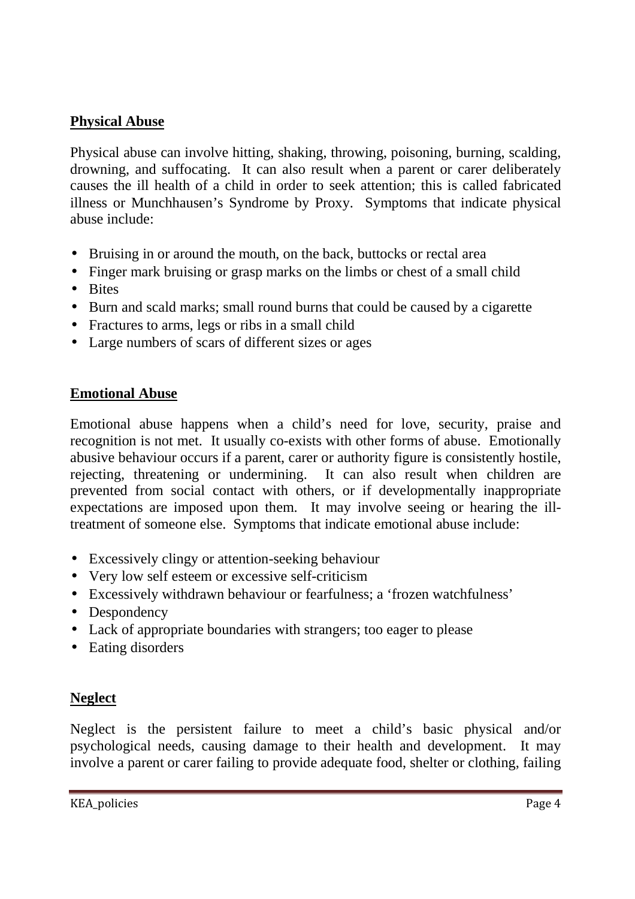#### **Physical Abuse**

Physical abuse can involve hitting, shaking, throwing, poisoning, burning, scalding, drowning, and suffocating. It can also result when a parent or carer deliberately causes the ill health of a child in order to seek attention; this is called fabricated illness or Munchhausen's Syndrome by Proxy. Symptoms that indicate physical abuse include:

- Bruising in or around the mouth, on the back, buttocks or rectal area
- Finger mark bruising or grasp marks on the limbs or chest of a small child
- Bites
- Burn and scald marks; small round burns that could be caused by a cigarette
- Fractures to arms, legs or ribs in a small child
- Large numbers of scars of different sizes or ages

#### **Emotional Abuse**

Emotional abuse happens when a child's need for love, security, praise and recognition is not met. It usually co-exists with other forms of abuse. Emotionally abusive behaviour occurs if a parent, carer or authority figure is consistently hostile, rejecting, threatening or undermining. It can also result when children are prevented from social contact with others, or if developmentally inappropriate expectations are imposed upon them. It may involve seeing or hearing the illtreatment of someone else. Symptoms that indicate emotional abuse include:

- Excessively clingy or attention-seeking behaviour
- Very low self esteem or excessive self-criticism
- Excessively withdrawn behaviour or fearfulness: a 'frozen watchfulness'
- Despondency
- Lack of appropriate boundaries with strangers; too eager to please
- Eating disorders

# **Neglect**

Neglect is the persistent failure to meet a child's basic physical and/or psychological needs, causing damage to their health and development. It may involve a parent or carer failing to provide adequate food, shelter or clothing, failing

KEA policies Page 4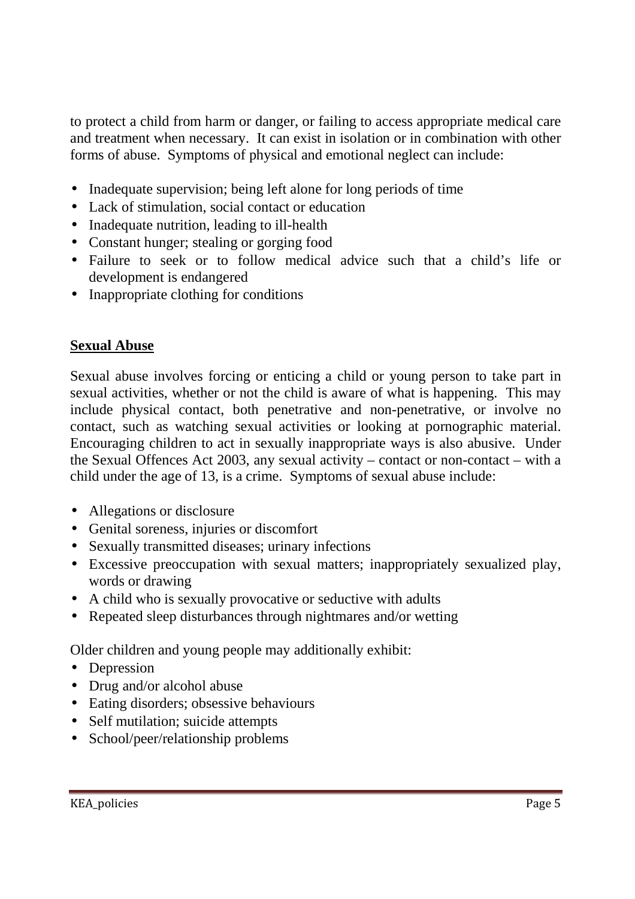to protect a child from harm or danger, or failing to access appropriate medical care and treatment when necessary. It can exist in isolation or in combination with other forms of abuse. Symptoms of physical and emotional neglect can include:

- Inadequate supervision; being left alone for long periods of time
- Lack of stimulation, social contact or education
- Inadequate nutrition, leading to ill-health
- Constant hunger; stealing or gorging food
- Failure to seek or to follow medical advice such that a child's life or development is endangered
- Inappropriate clothing for conditions

## **Sexual Abuse**

Sexual abuse involves forcing or enticing a child or young person to take part in sexual activities, whether or not the child is aware of what is happening. This may include physical contact, both penetrative and non-penetrative, or involve no contact, such as watching sexual activities or looking at pornographic material. Encouraging children to act in sexually inappropriate ways is also abusive. Under the Sexual Offences Act 2003, any sexual activity – contact or non-contact – with a child under the age of 13, is a crime. Symptoms of sexual abuse include:

- Allegations or disclosure
- Genital soreness, injuries or discomfort
- Sexually transmitted diseases; urinary infections
- Excessive preoccupation with sexual matters; inappropriately sexualized play, words or drawing
- A child who is sexually provocative or seductive with adults
- Repeated sleep disturbances through nightmares and/or wetting

Older children and young people may additionally exhibit:

- Depression
- Drug and/or alcohol abuse
- Eating disorders; obsessive behaviours
- Self mutilation; suicide attempts
- School/peer/relationship problems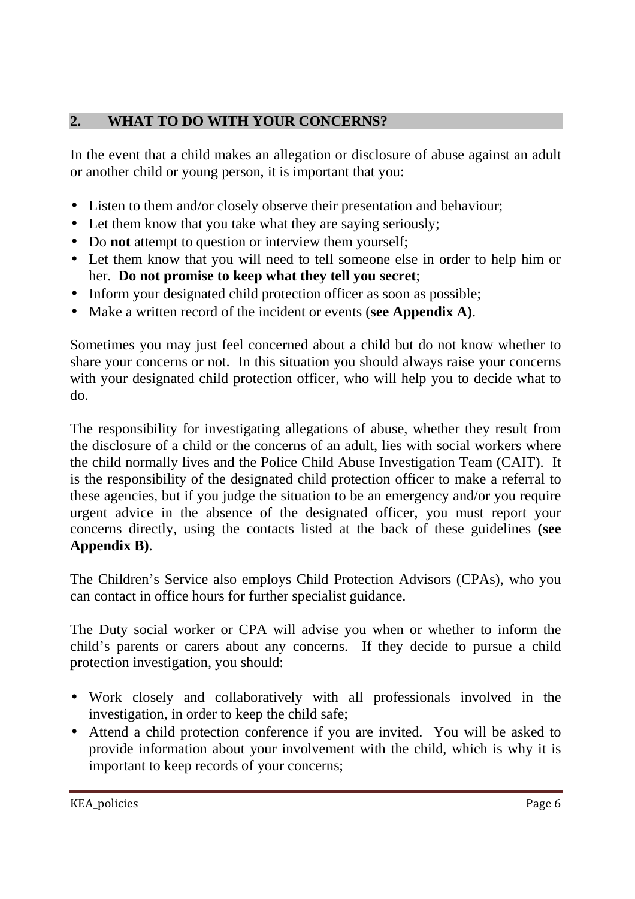# **2. WHAT TO DO WITH YOUR CONCERNS?**

In the event that a child makes an allegation or disclosure of abuse against an adult or another child or young person, it is important that you:

- Listen to them and/or closely observe their presentation and behaviour;
- Let them know that you take what they are saying seriously;
- Do **not** attempt to question or interview them yourself;
- Let them know that you will need to tell someone else in order to help him or her. **Do not promise to keep what they tell you secret**;
- Inform your designated child protection officer as soon as possible;
- Make a written record of the incident or events (**see Appendix A)**.

Sometimes you may just feel concerned about a child but do not know whether to share your concerns or not. In this situation you should always raise your concerns with your designated child protection officer, who will help you to decide what to do.

The responsibility for investigating allegations of abuse, whether they result from the disclosure of a child or the concerns of an adult, lies with social workers where the child normally lives and the Police Child Abuse Investigation Team (CAIT). It is the responsibility of the designated child protection officer to make a referral to these agencies, but if you judge the situation to be an emergency and/or you require urgent advice in the absence of the designated officer, you must report your concerns directly, using the contacts listed at the back of these guidelines **(see Appendix B)**.

The Children's Service also employs Child Protection Advisors (CPAs), who you can contact in office hours for further specialist guidance.

The Duty social worker or CPA will advise you when or whether to inform the child's parents or carers about any concerns. If they decide to pursue a child protection investigation, you should:

- Work closely and collaboratively with all professionals involved in the investigation, in order to keep the child safe;
- Attend a child protection conference if you are invited. You will be asked to provide information about your involvement with the child, which is why it is important to keep records of your concerns;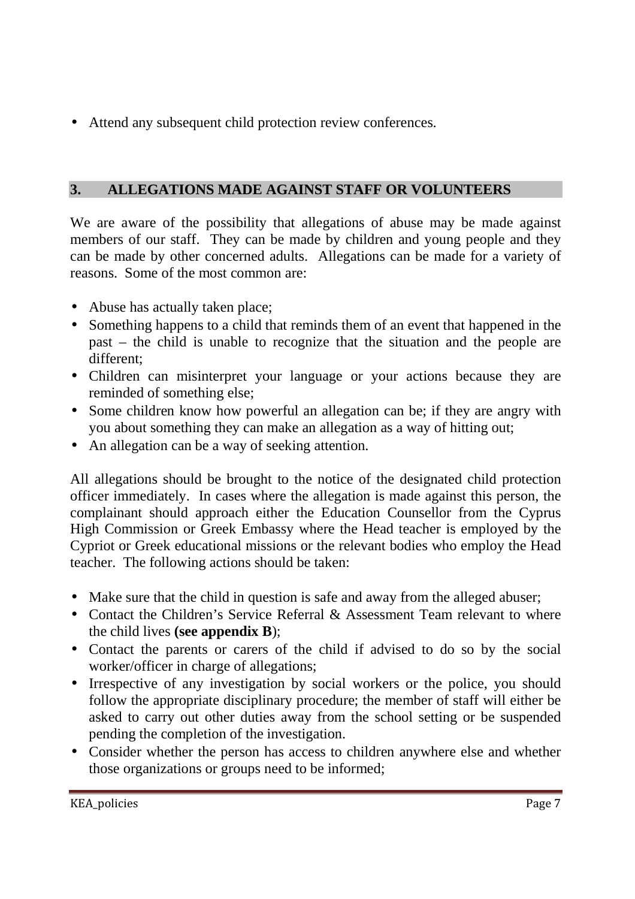• Attend any subsequent child protection review conferences.

# **3. ALLEGATIONS MADE AGAINST STAFF OR VOLUNTEERS**

We are aware of the possibility that allegations of abuse may be made against members of our staff. They can be made by children and young people and they can be made by other concerned adults. Allegations can be made for a variety of reasons. Some of the most common are:

- Abuse has actually taken place;
- Something happens to a child that reminds them of an event that happened in the past – the child is unable to recognize that the situation and the people are different;
- Children can misinterpret your language or your actions because they are reminded of something else;
- Some children know how powerful an allegation can be; if they are angry with you about something they can make an allegation as a way of hitting out;
- An allegation can be a way of seeking attention.

All allegations should be brought to the notice of the designated child protection officer immediately. In cases where the allegation is made against this person, the complainant should approach either the Education Counsellor from the Cyprus High Commission or Greek Embassy where the Head teacher is employed by the Cypriot or Greek educational missions or the relevant bodies who employ the Head teacher. The following actions should be taken:

- Make sure that the child in question is safe and away from the alleged abuser;
- Contact the Children's Service Referral & Assessment Team relevant to where the child lives **(see appendix B**);
- Contact the parents or carers of the child if advised to do so by the social worker/officer in charge of allegations;
- Irrespective of any investigation by social workers or the police, you should follow the appropriate disciplinary procedure; the member of staff will either be asked to carry out other duties away from the school setting or be suspended pending the completion of the investigation.
- Consider whether the person has access to children anywhere else and whether those organizations or groups need to be informed;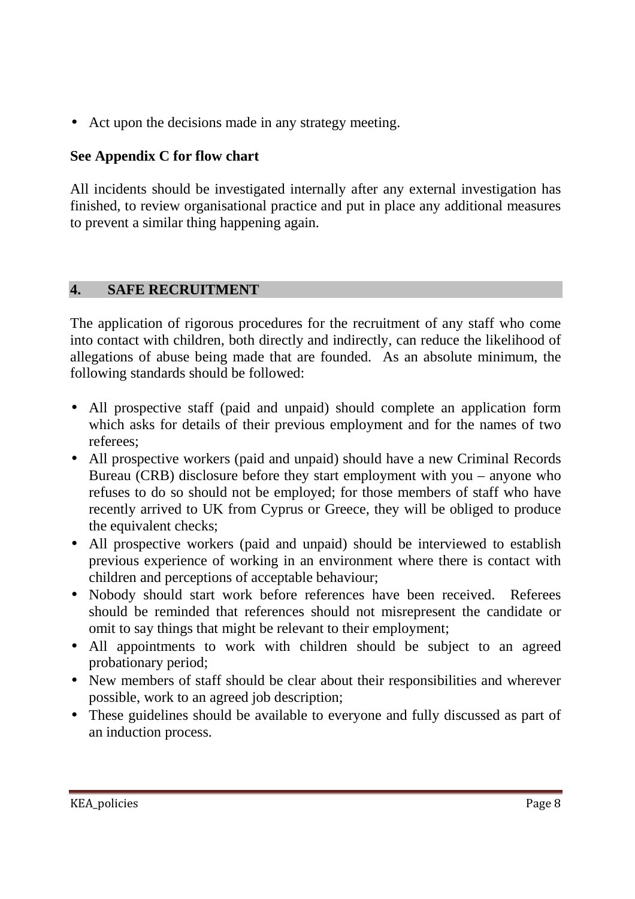• Act upon the decisions made in any strategy meeting.

# **See Appendix C for flow chart**

All incidents should be investigated internally after any external investigation has finished, to review organisational practice and put in place any additional measures to prevent a similar thing happening again.

#### **4. SAFE RECRUITMENT**

The application of rigorous procedures for the recruitment of any staff who come into contact with children, both directly and indirectly, can reduce the likelihood of allegations of abuse being made that are founded. As an absolute minimum, the following standards should be followed:

- All prospective staff (paid and unpaid) should complete an application form which asks for details of their previous employment and for the names of two referees;
- All prospective workers (paid and unpaid) should have a new Criminal Records Bureau (CRB) disclosure before they start employment with you – anyone who refuses to do so should not be employed; for those members of staff who have recently arrived to UK from Cyprus or Greece, they will be obliged to produce the equivalent checks;
- All prospective workers (paid and unpaid) should be interviewed to establish previous experience of working in an environment where there is contact with children and perceptions of acceptable behaviour;
- Nobody should start work before references have been received. Referees should be reminded that references should not misrepresent the candidate or omit to say things that might be relevant to their employment;
- All appointments to work with children should be subject to an agreed probationary period;
- New members of staff should be clear about their responsibilities and wherever possible, work to an agreed job description;
- These guidelines should be available to everyone and fully discussed as part of an induction process.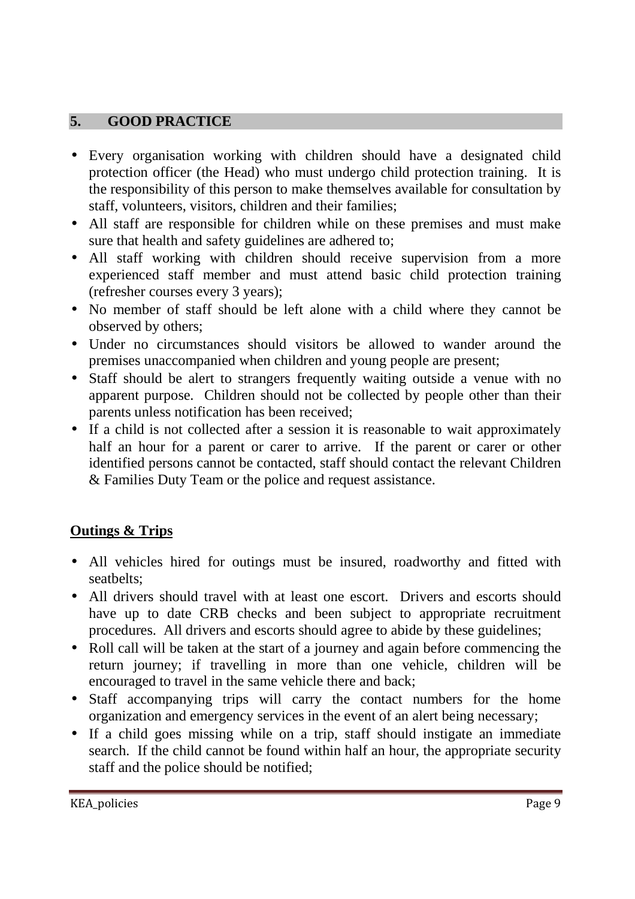#### **5. GOOD PRACTICE**

- Every organisation working with children should have a designated child protection officer (the Head) who must undergo child protection training. It is the responsibility of this person to make themselves available for consultation by staff, volunteers, visitors, children and their families;
- All staff are responsible for children while on these premises and must make sure that health and safety guidelines are adhered to;
- All staff working with children should receive supervision from a more experienced staff member and must attend basic child protection training (refresher courses every 3 years);
- No member of staff should be left alone with a child where they cannot be observed by others;
- Under no circumstances should visitors be allowed to wander around the premises unaccompanied when children and young people are present;
- Staff should be alert to strangers frequently waiting outside a venue with no apparent purpose. Children should not be collected by people other than their parents unless notification has been received;
- If a child is not collected after a session it is reasonable to wait approximately half an hour for a parent or carer to arrive. If the parent or carer or other identified persons cannot be contacted, staff should contact the relevant Children & Families Duty Team or the police and request assistance.

#### **Outings & Trips**

- All vehicles hired for outings must be insured, roadworthy and fitted with seatbelts;
- All drivers should travel with at least one escort. Drivers and escorts should have up to date CRB checks and been subject to appropriate recruitment procedures. All drivers and escorts should agree to abide by these guidelines;
- Roll call will be taken at the start of a journey and again before commencing the return journey; if travelling in more than one vehicle, children will be encouraged to travel in the same vehicle there and back;
- Staff accompanying trips will carry the contact numbers for the home organization and emergency services in the event of an alert being necessary;
- If a child goes missing while on a trip, staff should instigate an immediate search. If the child cannot be found within half an hour, the appropriate security staff and the police should be notified;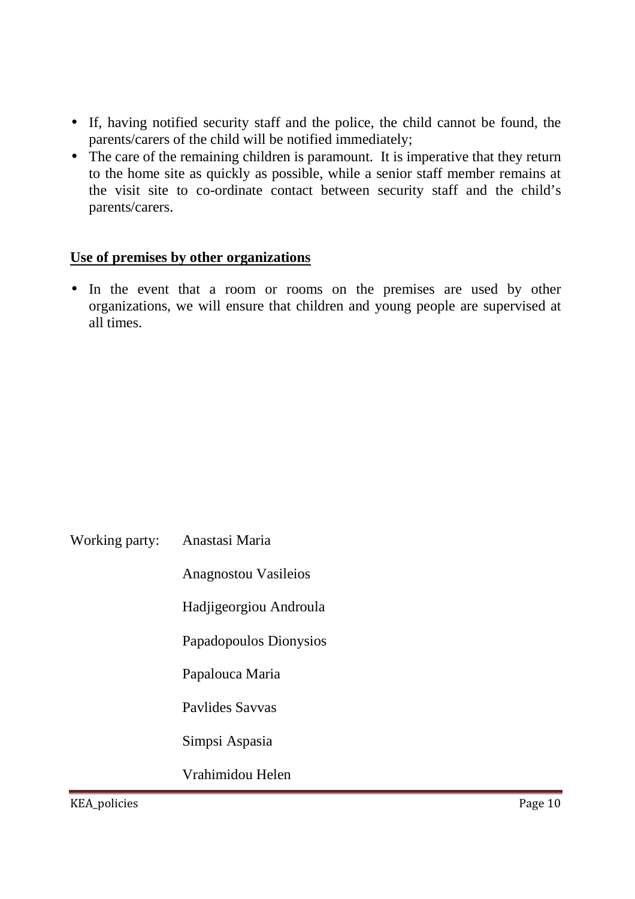- If, having notified security staff and the police, the child cannot be found, the parents/carers of the child will be notified immediately;
- The care of the remaining children is paramount. It is imperative that they return to the home site as quickly as possible, while a senior staff member remains at the visit site to co-ordinate contact between security staff and the child's parents/carers.

#### **Use of premises by other organizations**

• In the event that a room or rooms on the premises are used by other organizations, we will ensure that children and young people are supervised at all times.

| Working party: | Anastasi Maria |
|----------------|----------------|
|----------------|----------------|

Anagnostou Vasileios

Hadjigeorgiou Androula

Papadopoulos Dionysios

Papalouca Maria

Pavlides Savvas

Simpsi Aspasia

Vrahimidou Helen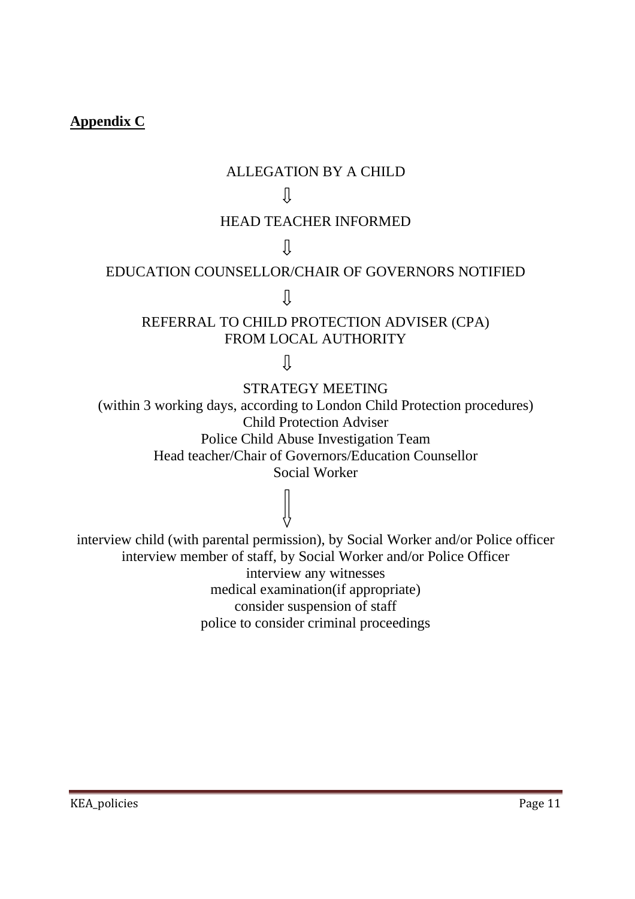#### **Appendix C**

#### ALLEGATION BY A CHILD

#### Л

#### HEAD TEACHER INFORMED

 $\prod$ 

# EDUCATION COUNSELLOR/CHAIR OF GOVERNORS NOTIFIED

 $\prod$ 

#### REFERRAL TO CHILD PROTECTION ADVISER (CPA) FROM LOCAL AUTHORITY

 $\overline{\mathfrak{g}}$ 

STRATEGY MEETING

(within 3 working days, according to London Child Protection procedures) Child Protection Adviser Police Child Abuse Investigation Team Head teacher/Chair of Governors/Education Counsellor Social Worker

interview child (with parental permission), by Social Worker and/or Police officer interview member of staff, by Social Worker and/or Police Officer interview any witnesses medical examination(if appropriate) consider suspension of staff police to consider criminal proceedings